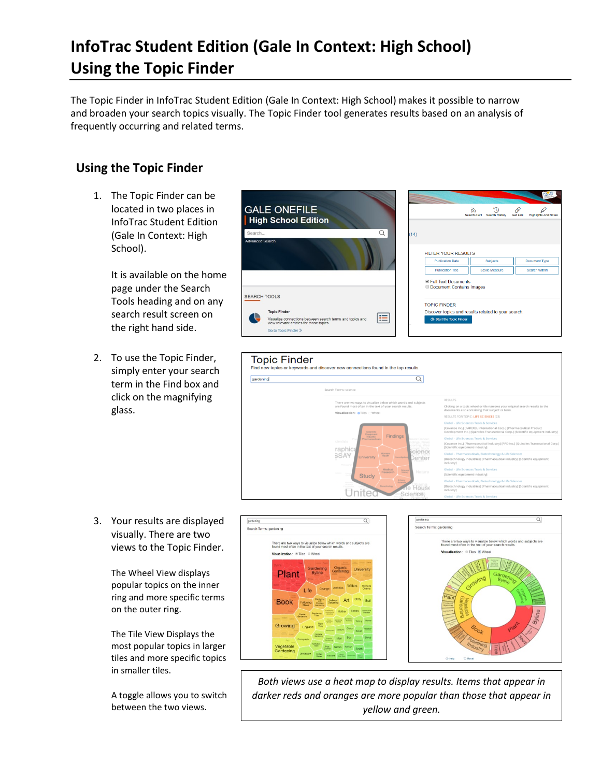## **InfoTrac Student Edition (Gale In Context: High School) Using the Topic Finder**

The Topic Finder in InfoTrac Student Edition (Gale In Context: High School) makes it possible to narrow and broaden your search topics visually. The Topic Finder tool generates results based on an analysis of frequently occurring and related terms.

## **Using the Topic Finder**

1. The Topic Finder can be located in two places in InfoTrac Student Edition (Gale In Context: High School).

> It is available on the home page under the Search Tools heading and on any search result screen on the right hand side.

2. To use the Topic Finder, simply enter your search term in the Find box and click on the magnifying glass.

3. Your results are displayed visually. There are two views to the Topic Finder.

> The Wheel View displays popular topics on the inner ring and more specific terms on the outer ring.

The Tile View Displays the most popular topics in larger tiles and more specific topics in smaller tiles.

A toggle allows you to switch between the two views.









*Both views use a heat map to display results. Items that appear in darker reds and oranges are more popular than those that appear in yellow and green.*